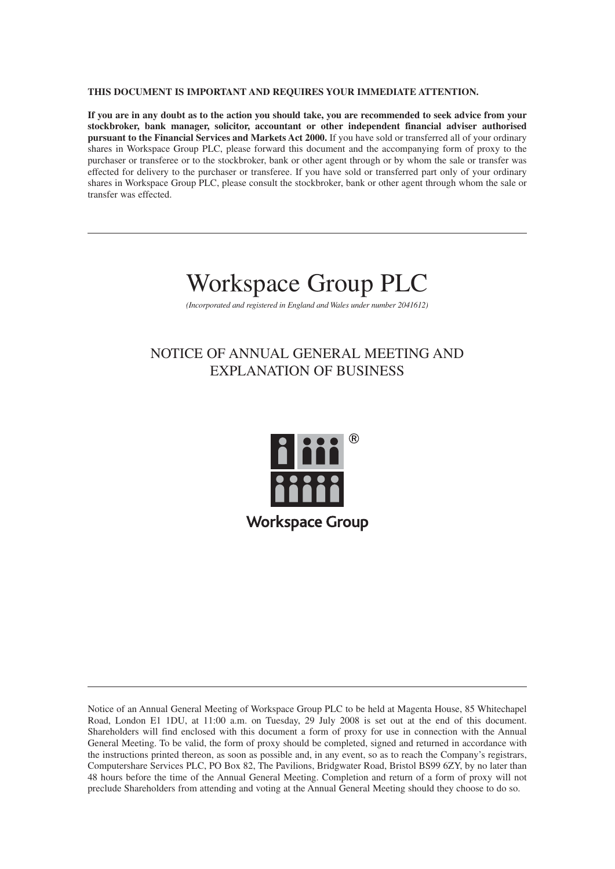#### **THIS DOCUMENT IS IMPORTANT AND REQUIRES YOUR IMMEDIATE ATTENTION.**

**If you are in any doubt as to the action you should take, you are recommended to seek advice from your stockbroker, bank manager, solicitor, accountant or other independent financial adviser authorised pursuant to the Financial Services and Markets Act 2000.** If you have sold or transferred all of your ordinary shares in Workspace Group PLC, please forward this document and the accompanying form of proxy to the purchaser or transferee or to the stockbroker, bank or other agent through or by whom the sale or transfer was effected for delivery to the purchaser or transferee. If you have sold or transferred part only of your ordinary shares in Workspace Group PLC, please consult the stockbroker, bank or other agent through whom the sale or transfer was effected.

# Workspace Group PLC

*(Incorporated and registered in England and Wales under number 2041612)*

## NOTICE OF ANNUAL GENERAL MEETING AND EXPLANATION OF BUSINESS



Notice of an Annual General Meeting of Workspace Group PLC to be held at Magenta House, 85 Whitechapel Road, London E1 1DU, at 11:00 a.m. on Tuesday, 29 July 2008 is set out at the end of this document. Shareholders will find enclosed with this document a form of proxy for use in connection with the Annual General Meeting. To be valid, the form of proxy should be completed, signed and returned in accordance with the instructions printed thereon, as soon as possible and, in any event, so as to reach the Company's registrars, Computershare Services PLC, PO Box 82, The Pavilions, Bridgwater Road, Bristol BS99 6ZY, by no later than 48 hours before the time of the Annual General Meeting. Completion and return of a form of proxy will not preclude Shareholders from attending and voting at the Annual General Meeting should they choose to do so.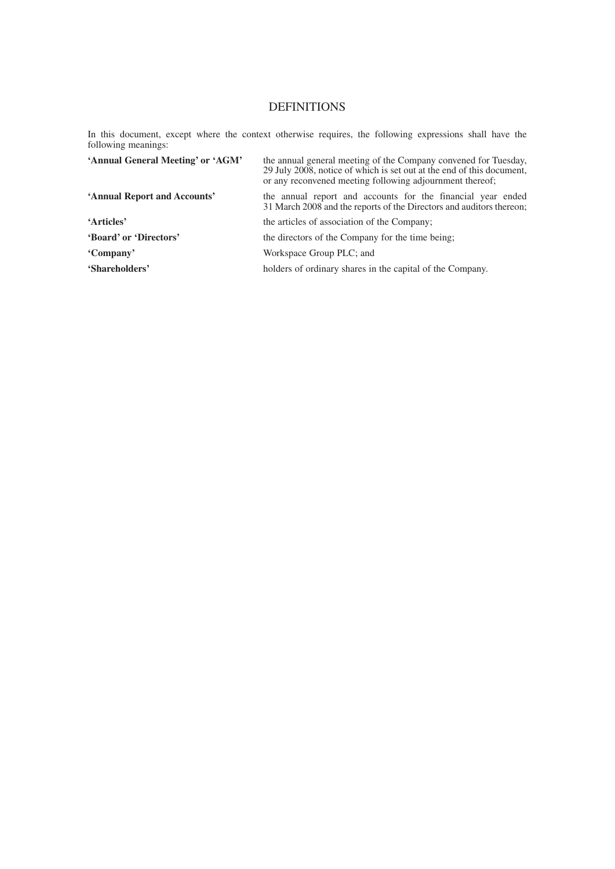### DEFINITIONS

In this document, except where the context otherwise requires, the following expressions shall have the following meanings:

| 'Annual General Meeting' or 'AGM' | the annual general meeting of the Company convened for Tuesday,<br>29 July 2008, notice of which is set out at the end of this document,<br>or any reconvened meeting following adjournment thereof; |
|-----------------------------------|------------------------------------------------------------------------------------------------------------------------------------------------------------------------------------------------------|
| 'Annual Report and Accounts'      | the annual report and accounts for the financial year ended<br>31 March 2008 and the reports of the Directors and auditors thereon;                                                                  |
| 'Articles'                        | the articles of association of the Company;                                                                                                                                                          |
| 'Board' or 'Directors'            | the directors of the Company for the time being;                                                                                                                                                     |
| 'Company'                         | Workspace Group PLC; and                                                                                                                                                                             |
| 'Shareholders'                    | holders of ordinary shares in the capital of the Company.                                                                                                                                            |
|                                   |                                                                                                                                                                                                      |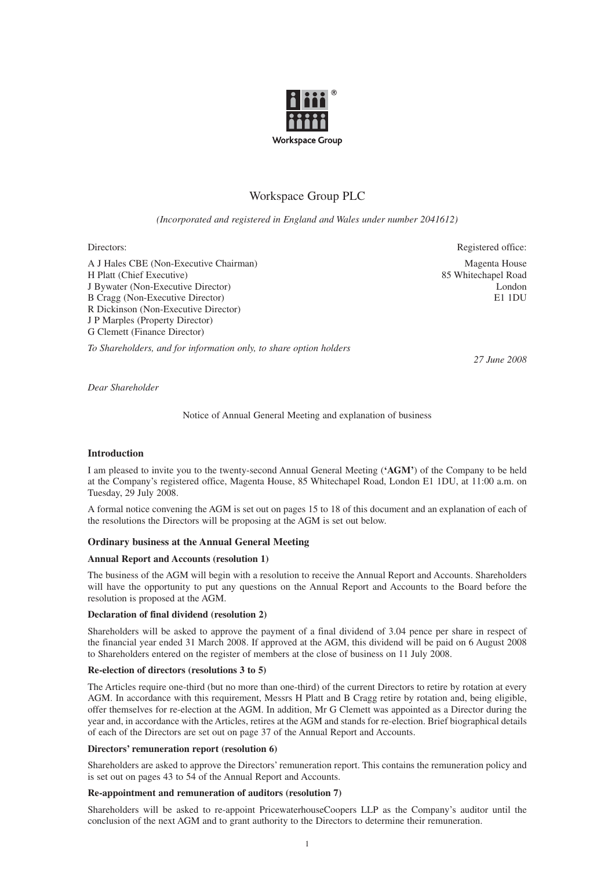

### Workspace Group PLC

*(Incorporated and registered in England and Wales under number 2041612)*

Directors: Registered office:

A J Hales CBE (Non-Executive Chairman) Magenta House H Platt (Chief Executive) 85 Whitechapel Road J Bywater (Non-Executive Director) London B Cragg (Non-Executive Director) E1 1DU R Dickinson (Non-Executive Director) J P Marples (Property Director) G Clemett (Finance Director)

*To Shareholders, and for information only, to share option holders*

*27 June 2008*

*Dear Shareholder*

Notice of Annual General Meeting and explanation of business

#### **Introduction**

I am pleased to invite you to the twenty-second Annual General Meeting (**'AGM'**) of the Company to be held at the Company's registered office, Magenta House, 85 Whitechapel Road, London E1 1DU, at 11:00 a.m. on Tuesday, 29 July 2008.

A formal notice convening the AGM is set out on pages 15 to 18 of this document and an explanation of each of the resolutions the Directors will be proposing at the AGM is set out below.

#### **Ordinary business at the Annual General Meeting**

#### **Annual Report and Accounts (resolution 1)**

The business of the AGM will begin with a resolution to receive the Annual Report and Accounts. Shareholders will have the opportunity to put any questions on the Annual Report and Accounts to the Board before the resolution is proposed at the AGM.

#### **Declaration of final dividend (resolution 2)**

Shareholders will be asked to approve the payment of a final dividend of 3.04 pence per share in respect of the financial year ended 31 March 2008. If approved at the AGM, this dividend will be paid on 6 August 2008 to Shareholders entered on the register of members at the close of business on 11 July 2008.

#### **Re-election of directors (resolutions 3 to 5)**

The Articles require one-third (but no more than one-third) of the current Directors to retire by rotation at every AGM. In accordance with this requirement, Messrs H Platt and B Cragg retire by rotation and, being eligible, offer themselves for re-election at the AGM. In addition, Mr G Clemett was appointed as a Director during the year and, in accordance with the Articles, retires at the AGM and stands for re-election. Brief biographical details of each of the Directors are set out on page 37 of the Annual Report and Accounts.

#### **Directors' remuneration report (resolution 6)**

Shareholders are asked to approve the Directors' remuneration report. This contains the remuneration policy and is set out on pages 43 to 54 of the Annual Report and Accounts.

#### **Re-appointment and remuneration of auditors (resolution 7)**

Shareholders will be asked to re-appoint PricewaterhouseCoopers LLP as the Company's auditor until the conclusion of the next AGM and to grant authority to the Directors to determine their remuneration.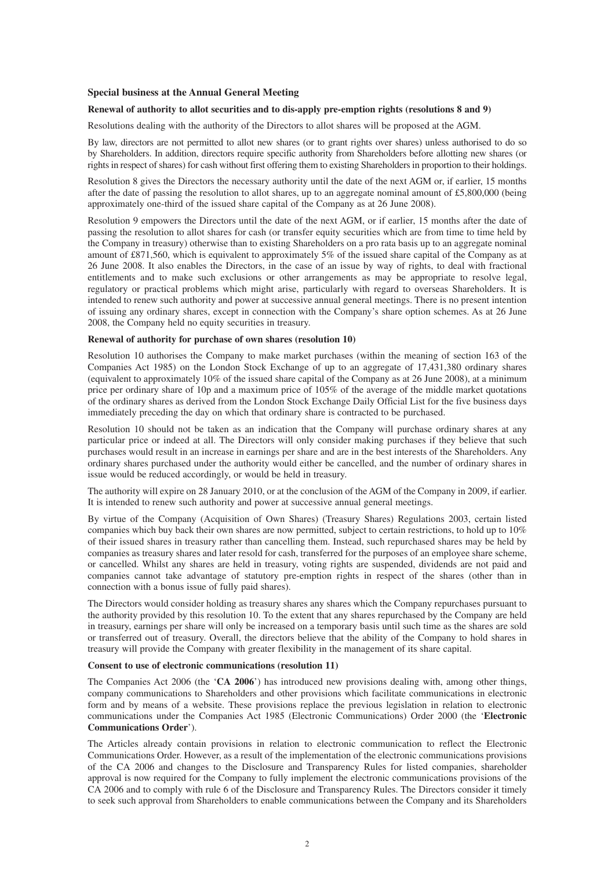#### **Special business at the Annual General Meeting**

#### **Renewal of authority to allot securities and to dis-apply pre-emption rights (resolutions 8 and 9)**

Resolutions dealing with the authority of the Directors to allot shares will be proposed at the AGM.

By law, directors are not permitted to allot new shares (or to grant rights over shares) unless authorised to do so by Shareholders. In addition, directors require specific authority from Shareholders before allotting new shares (or rights in respect of shares) for cash without first offering them to existing Shareholders in proportion to their holdings.

Resolution 8 gives the Directors the necessary authority until the date of the next AGM or, if earlier, 15 months after the date of passing the resolution to allot shares, up to an aggregate nominal amount of £5,800,000 (being approximately one-third of the issued share capital of the Company as at 26 June 2008).

Resolution 9 empowers the Directors until the date of the next AGM, or if earlier, 15 months after the date of passing the resolution to allot shares for cash (or transfer equity securities which are from time to time held by the Company in treasury) otherwise than to existing Shareholders on a pro rata basis up to an aggregate nominal amount of £871,560, which is equivalent to approximately 5% of the issued share capital of the Company as at 26 June 2008. It also enables the Directors, in the case of an issue by way of rights, to deal with fractional entitlements and to make such exclusions or other arrangements as may be appropriate to resolve legal, regulatory or practical problems which might arise, particularly with regard to overseas Shareholders. It is intended to renew such authority and power at successive annual general meetings. There is no present intention of issuing any ordinary shares, except in connection with the Company's share option schemes. As at 26 June 2008, the Company held no equity securities in treasury.

#### **Renewal of authority for purchase of own shares (resolution 10)**

Resolution 10 authorises the Company to make market purchases (within the meaning of section 163 of the Companies Act 1985) on the London Stock Exchange of up to an aggregate of 17,431,380 ordinary shares (equivalent to approximately 10% of the issued share capital of the Company as at 26 June 2008), at a minimum price per ordinary share of 10p and a maximum price of 105% of the average of the middle market quotations of the ordinary shares as derived from the London Stock Exchange Daily Official List for the five business days immediately preceding the day on which that ordinary share is contracted to be purchased.

Resolution 10 should not be taken as an indication that the Company will purchase ordinary shares at any particular price or indeed at all. The Directors will only consider making purchases if they believe that such purchases would result in an increase in earnings per share and are in the best interests of the Shareholders. Any ordinary shares purchased under the authority would either be cancelled, and the number of ordinary shares in issue would be reduced accordingly, or would be held in treasury.

The authority will expire on 28 January 2010, or at the conclusion of the AGM of the Company in 2009, if earlier. It is intended to renew such authority and power at successive annual general meetings.

By virtue of the Company (Acquisition of Own Shares) (Treasury Shares) Regulations 2003, certain listed companies which buy back their own shares are now permitted, subject to certain restrictions, to hold up to 10% of their issued shares in treasury rather than cancelling them. Instead, such repurchased shares may be held by companies as treasury shares and later resold for cash, transferred for the purposes of an employee share scheme, or cancelled. Whilst any shares are held in treasury, voting rights are suspended, dividends are not paid and companies cannot take advantage of statutory pre-emption rights in respect of the shares (other than in connection with a bonus issue of fully paid shares).

The Directors would consider holding as treasury shares any shares which the Company repurchases pursuant to the authority provided by this resolution 10. To the extent that any shares repurchased by the Company are held in treasury, earnings per share will only be increased on a temporary basis until such time as the shares are sold or transferred out of treasury. Overall, the directors believe that the ability of the Company to hold shares in treasury will provide the Company with greater flexibility in the management of its share capital.

#### **Consent to use of electronic communications (resolution 11)**

The Companies Act 2006 (the '**CA 2006**') has introduced new provisions dealing with, among other things, company communications to Shareholders and other provisions which facilitate communications in electronic form and by means of a website. These provisions replace the previous legislation in relation to electronic communications under the Companies Act 1985 (Electronic Communications) Order 2000 (the '**Electronic Communications Order**').

The Articles already contain provisions in relation to electronic communication to reflect the Electronic Communications Order. However, as a result of the implementation of the electronic communications provisions of the CA 2006 and changes to the Disclosure and Transparency Rules for listed companies, shareholder approval is now required for the Company to fully implement the electronic communications provisions of the CA 2006 and to comply with rule 6 of the Disclosure and Transparency Rules. The Directors consider it timely to seek such approval from Shareholders to enable communications between the Company and its Shareholders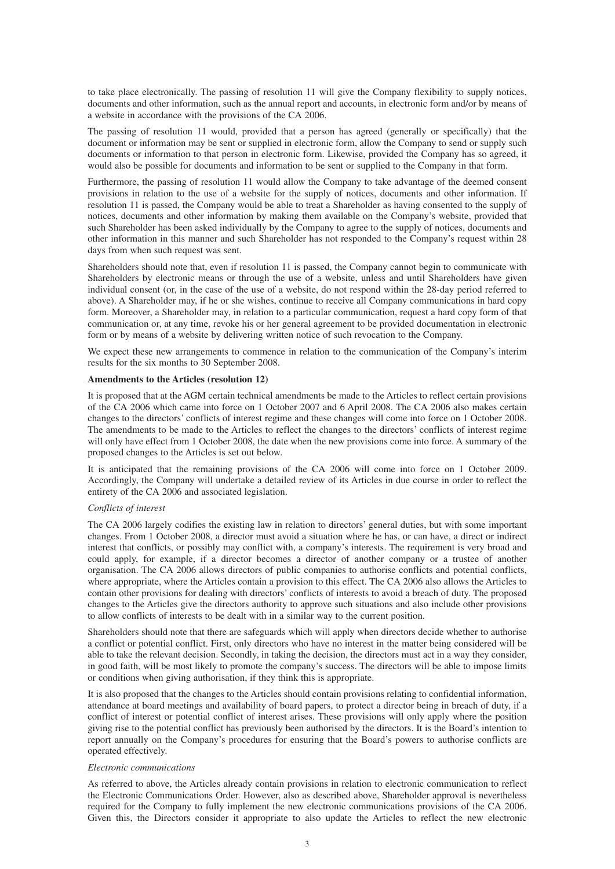to take place electronically. The passing of resolution 11 will give the Company flexibility to supply notices, documents and other information, such as the annual report and accounts, in electronic form and/or by means of a website in accordance with the provisions of the CA 2006.

The passing of resolution 11 would, provided that a person has agreed (generally or specifically) that the document or information may be sent or supplied in electronic form, allow the Company to send or supply such documents or information to that person in electronic form. Likewise, provided the Company has so agreed, it would also be possible for documents and information to be sent or supplied to the Company in that form.

Furthermore, the passing of resolution 11 would allow the Company to take advantage of the deemed consent provisions in relation to the use of a website for the supply of notices, documents and other information. If resolution 11 is passed, the Company would be able to treat a Shareholder as having consented to the supply of notices, documents and other information by making them available on the Company's website, provided that such Shareholder has been asked individually by the Company to agree to the supply of notices, documents and other information in this manner and such Shareholder has not responded to the Company's request within 28 days from when such request was sent.

Shareholders should note that, even if resolution 11 is passed, the Company cannot begin to communicate with Shareholders by electronic means or through the use of a website, unless and until Shareholders have given individual consent (or, in the case of the use of a website, do not respond within the 28-day period referred to above). A Shareholder may, if he or she wishes, continue to receive all Company communications in hard copy form. Moreover, a Shareholder may, in relation to a particular communication, request a hard copy form of that communication or, at any time, revoke his or her general agreement to be provided documentation in electronic form or by means of a website by delivering written notice of such revocation to the Company.

We expect these new arrangements to commence in relation to the communication of the Company's interim results for the six months to 30 September 2008.

#### **Amendments to the Articles (resolution 12)**

It is proposed that at the AGM certain technical amendments be made to the Articles to reflect certain provisions of the CA 2006 which came into force on 1 October 2007 and 6 April 2008. The CA 2006 also makes certain changes to the directors' conflicts of interest regime and these changes will come into force on 1 October 2008. The amendments to be made to the Articles to reflect the changes to the directors' conflicts of interest regime will only have effect from 1 October 2008, the date when the new provisions come into force. A summary of the proposed changes to the Articles is set out below.

It is anticipated that the remaining provisions of the CA 2006 will come into force on 1 October 2009. Accordingly, the Company will undertake a detailed review of its Articles in due course in order to reflect the entirety of the CA 2006 and associated legislation.

#### *Conflicts of interest*

The CA 2006 largely codifies the existing law in relation to directors' general duties, but with some important changes. From 1 October 2008, a director must avoid a situation where he has, or can have, a direct or indirect interest that conflicts, or possibly may conflict with, a company's interests. The requirement is very broad and could apply, for example, if a director becomes a director of another company or a trustee of another organisation. The CA 2006 allows directors of public companies to authorise conflicts and potential conflicts, where appropriate, where the Articles contain a provision to this effect. The CA 2006 also allows the Articles to contain other provisions for dealing with directors' conflicts of interests to avoid a breach of duty. The proposed changes to the Articles give the directors authority to approve such situations and also include other provisions to allow conflicts of interests to be dealt with in a similar way to the current position.

Shareholders should note that there are safeguards which will apply when directors decide whether to authorise a conflict or potential conflict. First, only directors who have no interest in the matter being considered will be able to take the relevant decision. Secondly, in taking the decision, the directors must act in a way they consider, in good faith, will be most likely to promote the company's success. The directors will be able to impose limits or conditions when giving authorisation, if they think this is appropriate.

It is also proposed that the changes to the Articles should contain provisions relating to confidential information, attendance at board meetings and availability of board papers, to protect a director being in breach of duty, if a conflict of interest or potential conflict of interest arises. These provisions will only apply where the position giving rise to the potential conflict has previously been authorised by the directors. It is the Board's intention to report annually on the Company's procedures for ensuring that the Board's powers to authorise conflicts are operated effectively.

#### *Electronic communications*

As referred to above, the Articles already contain provisions in relation to electronic communication to reflect the Electronic Communications Order. However, also as described above, Shareholder approval is nevertheless required for the Company to fully implement the new electronic communications provisions of the CA 2006. Given this, the Directors consider it appropriate to also update the Articles to reflect the new electronic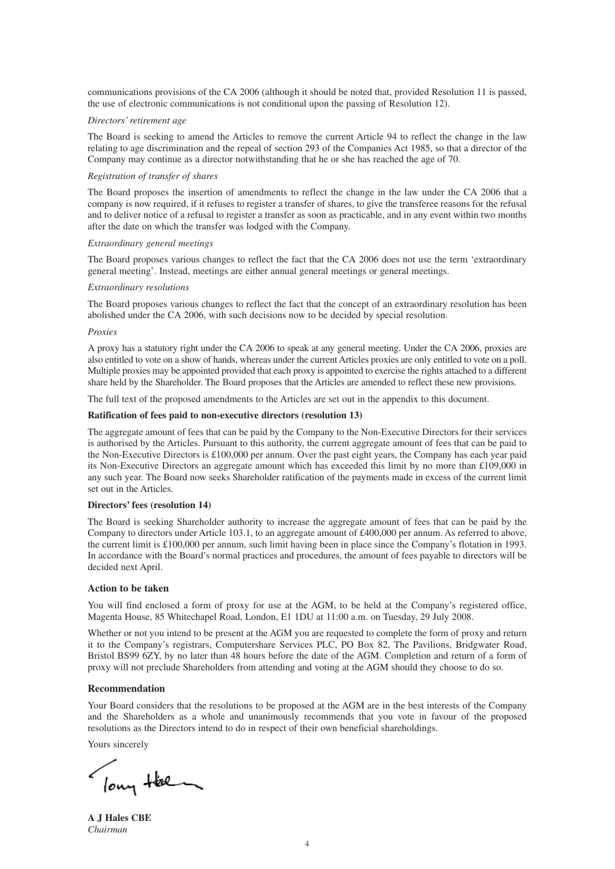communications provisions of the CA 2006 (although it should be noted that, provided Resolution 11 is passed, the use of electronic communications is not conditional upon the passing of Resolution 12).

#### *Directors' retirement age*

The Board is seeking to amend the Articles to remove the current Article 94 to reflect the change in the law relating to age discrimination and the repeal of section 293 of the Companies Act 1985, so that a director of the Company may continue as a director notwithstanding that he or she has reached the age of 70.

#### *Registration of transfer of shares*

The Board proposes the insertion of amendments to reflect the change in the law under the CA 2006 that a company is now required, if it refuses to register a transfer of shares, to give the transferee reasons for the refusal and to deliver notice of a refusal to register a transfer as soon as practicable, and in any event within two months after the date on which the transfer was lodged with the Company.

#### *Extraordinary general meetings*

The Board proposes various changes to reflect the fact that the CA 2006 does not use the term 'extraordinary general meeting'. Instead, meetings are either annual general meetings or general meetings.

#### *Extraordinary resolutions*

The Board proposes various changes to reflect the fact that the concept of an extraordinary resolution has been abolished under the CA 2006, with such decisions now to be decided by special resolution.

#### *Proxies*

A proxy has a statutory right under the CA 2006 to speak at any general meeting. Under the CA 2006, proxies are also entitled to vote on a show of hands, whereas under the current Articles proxies are only entitled to vote on a poll. Multiple proxies may be appointed provided that each proxy is appointed to exercise the rights attached to a different share held by the Shareholder. The Board proposes that the Articles are amended to reflect these new provisions.

The full text of the proposed amendments to the Articles are set out in the appendix to this document.

#### **Ratification of fees paid to non-executive directors (resolution 13)**

The aggregate amount of fees that can be paid by the Company to the Non-Executive Directors for their services is authorised by the Articles. Pursuant to this authority, the current aggregate amount of fees that can be paid to the Non-Executive Directors is £100,000 per annum. Over the past eight years, the Company has each year paid its Non-Executive Directors an aggregate amount which has exceeded this limit by no more than £109,000 in any such year. The Board now seeks Shareholder ratification of the payments made in excess of the current limit set out in the Articles.

#### **Directors' fees (resolution 14)**

The Board is seeking Shareholder authority to increase the aggregate amount of fees that can be paid by the Company to directors under Article 103.1, to an aggregate amount of £400,000 per annum. As referred to above, the current limit is £100,000 per annum, such limit having been in place since the Company's flotation in 1993. In accordance with the Board's normal practices and procedures, the amount of fees payable to directors will be decided next April.

#### **Action to be taken**

You will find enclosed a form of proxy for use at the AGM, to be held at the Company's registered office, Magenta House, 85 Whitechapel Road, London, E1 1DU at 11:00 a.m. on Tuesday, 29 July 2008.

Whether or not you intend to be present at the AGM you are requested to complete the form of proxy and return it to the Company's registrars, Computershare Services PLC, PO Box 82, The Pavilions, Bridgwater Road, Bristol BS99 6ZY, by no later than 48 hours before the date of the AGM. Completion and return of a form of proxy will not preclude Shareholders from attending and voting at the AGM should they choose to do so.

#### **Recommendation**

Your Board considers that the resolutions to be proposed at the AGM are in the best interests of the Company and the Shareholders as a whole and unanimously recommends that you vote in favour of the proposed resolutions as the Directors intend to do in respect of their own beneficial shareholdings.

Yours sincerely

low the

**A J Hales CBE** *Chairman*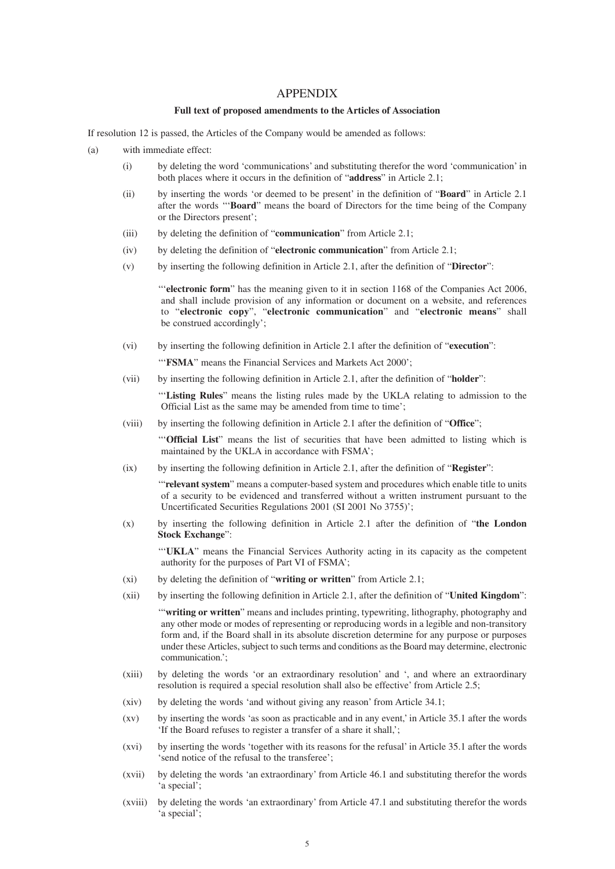#### APPENDIX

#### **Full text of proposed amendments to the Articles of Association**

If resolution 12 is passed, the Articles of the Company would be amended as follows:

- (a) with immediate effect:
	- (i) by deleting the word 'communications' and substituting therefor the word 'communication' in both places where it occurs in the definition of "**address**" in Article 2.1;
	- (ii) by inserting the words 'or deemed to be present' in the definition of "**Board**" in Article 2.1 after the words '''**Board**" means the board of Directors for the time being of the Company or the Directors present';
	- (iii) by deleting the definition of "**communication**" from Article 2.1;
	- (iv) by deleting the definition of "**electronic communication**" from Article 2.1;
	- (v) by inserting the following definition in Article 2.1, after the definition of "**Director**":

'''**electronic form**" has the meaning given to it in section 1168 of the Companies Act 2006, and shall include provision of any information or document on a website, and references to "**electronic copy**", "**electronic communication**" and "**electronic means**" shall be construed accordingly';

(vi) by inserting the following definition in Article 2.1 after the definition of "**execution**":

'''**FSMA**" means the Financial Services and Markets Act 2000';

(vii) by inserting the following definition in Article 2.1, after the definition of "**holder**":

'''**Listing Rules**" means the listing rules made by the UKLA relating to admission to the Official List as the same may be amended from time to time';

(viii) by inserting the following definition in Article 2.1 after the definition of "**Office**";

'''**Official List**" means the list of securities that have been admitted to listing which is maintained by the UKLA in accordance with FSMA';

(ix) by inserting the following definition in Article 2.1, after the definition of "**Register**":

'"**relevant system**" means a computer-based system and procedures which enable title to units of a security to be evidenced and transferred without a written instrument pursuant to the Uncertificated Securities Regulations 2001 (SI 2001 No 3755)';

(x) by inserting the following definition in Article 2.1 after the definition of "**the London Stock Exchange**":

'''**UKLA**" means the Financial Services Authority acting in its capacity as the competent authority for the purposes of Part VI of FSMA';

- (xi) by deleting the definition of "**writing or written**" from Article 2.1;
- (xii) by inserting the following definition in Article 2.1, after the definition of "**United Kingdom**":

'"**writing or written**" means and includes printing, typewriting, lithography, photography and any other mode or modes of representing or reproducing words in a legible and non-transitory form and, if the Board shall in its absolute discretion determine for any purpose or purposes under these Articles, subject to such terms and conditions as the Board may determine, electronic communication.';

- (xiii) by deleting the words 'or an extraordinary resolution' and ', and where an extraordinary resolution is required a special resolution shall also be effective' from Article 2.5;
- (xiv) by deleting the words 'and without giving any reason' from Article 34.1;
- (xv) by inserting the words 'as soon as practicable and in any event,' in Article 35.1 after the words 'If the Board refuses to register a transfer of a share it shall,';
- (xvi) by inserting the words 'together with its reasons for the refusal' in Article 35.1 after the words 'send notice of the refusal to the transferee';
- (xvii) by deleting the words 'an extraordinary' from Article 46.1 and substituting therefor the words 'a special';
- (xviii) by deleting the words 'an extraordinary' from Article 47.1 and substituting therefor the words 'a special';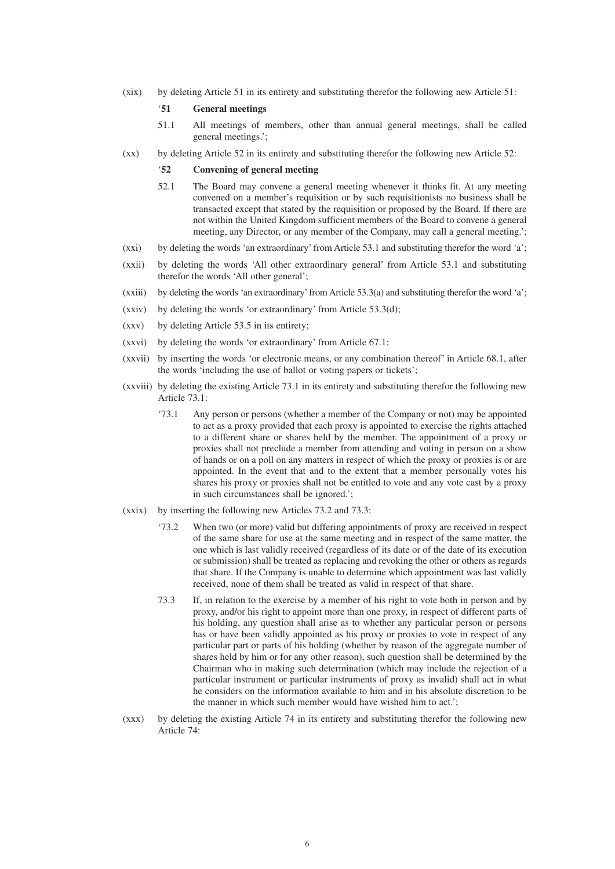(xix) by deleting Article 51 in its entirety and substituting therefor the following new Article 51:

#### '**51 General meetings**

- 51.1 All meetings of members, other than annual general meetings, shall be called general meetings.';
- (xx) by deleting Article 52 in its entirety and substituting therefor the following new Article 52:

#### '**52 Convening of general meeting**

- 52.1 The Board may convene a general meeting whenever it thinks fit. At any meeting convened on a member's requisition or by such requisitionists no business shall be transacted except that stated by the requisition or proposed by the Board. If there are not within the United Kingdom sufficient members of the Board to convene a general meeting, any Director, or any member of the Company, may call a general meeting.';
- (xxi) by deleting the words 'an extraordinary' from Article 53.1 and substituting therefor the word 'a';
- (xxii) by deleting the words 'All other extraordinary general' from Article 53.1 and substituting therefor the words 'All other general';
- (xxiii) by deleting the words 'an extraordinary' from Article 53.3(a) and substituting therefor the word 'a';
- (xxiv) by deleting the words 'or extraordinary' from Article 53.3(d);
- (xxv) by deleting Article 53.5 in its entirety;
- (xxvi) by deleting the words 'or extraordinary' from Article 67.1;
- (xxvii) by inserting the words 'or electronic means, or any combination thereof' in Article 68.1, after the words 'including the use of ballot or voting papers or tickets';
- (xxviii) by deleting the existing Article 73.1 in its entirety and substituting therefor the following new Article 73.1:
	- '73.1 Any person or persons (whether a member of the Company or not) may be appointed to act as a proxy provided that each proxy is appointed to exercise the rights attached to a different share or shares held by the member. The appointment of a proxy or proxies shall not preclude a member from attending and voting in person on a show of hands or on a poll on any matters in respect of which the proxy or proxies is or are appointed. In the event that and to the extent that a member personally votes his shares his proxy or proxies shall not be entitled to vote and any vote cast by a proxy in such circumstances shall be ignored.';
- (xxix) by inserting the following new Articles 73.2 and 73.3:
	- '73.2 When two (or more) valid but differing appointments of proxy are received in respect of the same share for use at the same meeting and in respect of the same matter, the one which is last validly received (regardless of its date or of the date of its execution or submission) shall be treated as replacing and revoking the other or others as regards that share. If the Company is unable to determine which appointment was last validly received, none of them shall be treated as valid in respect of that share.
	- 73.3 If, in relation to the exercise by a member of his right to vote both in person and by proxy, and/or his right to appoint more than one proxy, in respect of different parts of his holding, any question shall arise as to whether any particular person or persons has or have been validly appointed as his proxy or proxies to vote in respect of any particular part or parts of his holding (whether by reason of the aggregate number of shares held by him or for any other reason), such question shall be determined by the Chairman who in making such determination (which may include the rejection of a particular instrument or particular instruments of proxy as invalid) shall act in what he considers on the information available to him and in his absolute discretion to be the manner in which such member would have wished him to act.';
- (xxx) by deleting the existing Article 74 in its entirety and substituting therefor the following new Article 74: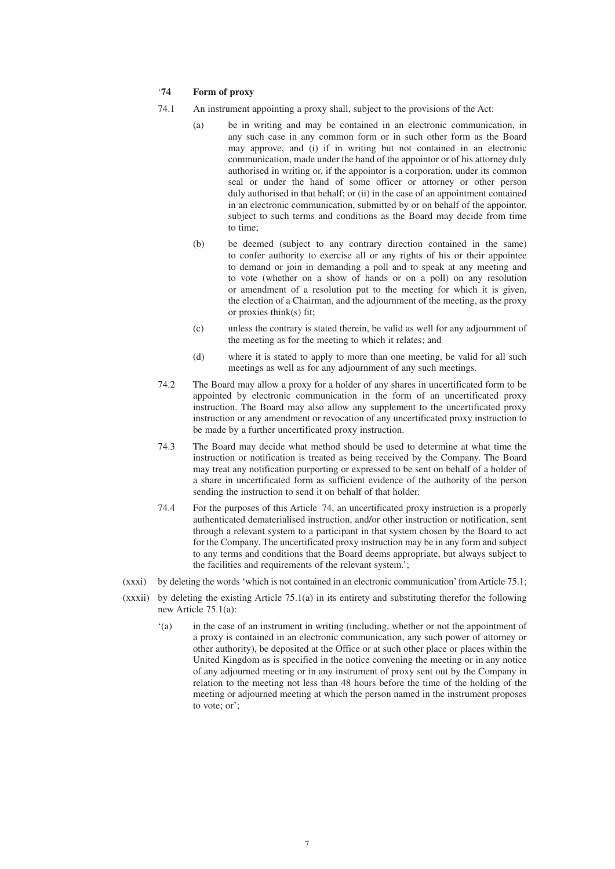#### '**74 Form of proxy**

- 74.1 An instrument appointing a proxy shall, subject to the provisions of the Act:
	- (a) be in writing and may be contained in an electronic communication, in any such case in any common form or in such other form as the Board may approve, and (i) if in writing but not contained in an electronic communication, made under the hand of the appointor or of his attorney duly authorised in writing or, if the appointor is a corporation, under its common seal or under the hand of some officer or attorney or other person duly authorised in that behalf; or (ii) in the case of an appointment contained in an electronic communication, submitted by or on behalf of the appointor, subject to such terms and conditions as the Board may decide from time to time;
	- (b) be deemed (subject to any contrary direction contained in the same) to confer authority to exercise all or any rights of his or their appointee to demand or join in demanding a poll and to speak at any meeting and to vote (whether on a show of hands or on a poll) on any resolution or amendment of a resolution put to the meeting for which it is given, the election of a Chairman, and the adjournment of the meeting, as the proxy or proxies think(s) fit;
	- (c) unless the contrary is stated therein, be valid as well for any adjournment of the meeting as for the meeting to which it relates; and
	- (d) where it is stated to apply to more than one meeting, be valid for all such meetings as well as for any adjournment of any such meetings.
- 74.2 The Board may allow a proxy for a holder of any shares in uncertificated form to be appointed by electronic communication in the form of an uncertificated proxy instruction. The Board may also allow any supplement to the uncertificated proxy instruction or any amendment or revocation of any uncertificated proxy instruction to be made by a further uncertificated proxy instruction.
- 74.3 The Board may decide what method should be used to determine at what time the instruction or notification is treated as being received by the Company. The Board may treat any notification purporting or expressed to be sent on behalf of a holder of a share in uncertificated form as sufficient evidence of the authority of the person sending the instruction to send it on behalf of that holder.
- 74.4 For the purposes of this Article 74, an uncertificated proxy instruction is a properly authenticated dematerialised instruction, and/or other instruction or notification, sent through a relevant system to a participant in that system chosen by the Board to act for the Company. The uncertificated proxy instruction may be in any form and subject to any terms and conditions that the Board deems appropriate, but always subject to the facilities and requirements of the relevant system.';
- (xxxi) by deleting the words 'which is not contained in an electronic communication' from Article 75.1;
- $(xxxiii)$  by deleting the existing Article 75.1(a) in its entirety and substituting therefor the following new Article 75.1(a):
	- '(a) in the case of an instrument in writing (including, whether or not the appointment of a proxy is contained in an electronic communication, any such power of attorney or other authority), be deposited at the Office or at such other place or places within the United Kingdom as is specified in the notice convening the meeting or in any notice of any adjourned meeting or in any instrument of proxy sent out by the Company in relation to the meeting not less than 48 hours before the time of the holding of the meeting or adjourned meeting at which the person named in the instrument proposes to vote; or';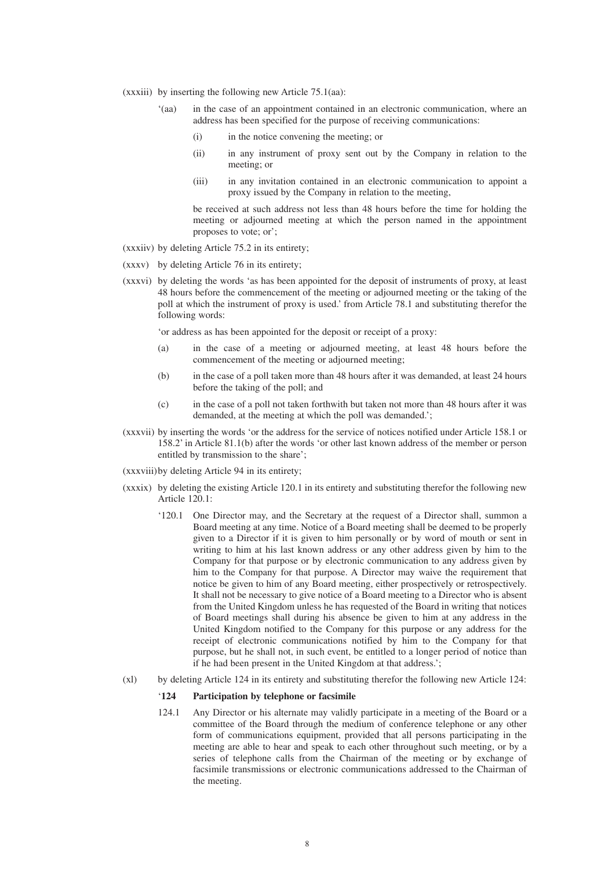- (xxxiii) by inserting the following new Article 75.1(aa):
	- '(aa) in the case of an appointment contained in an electronic communication, where an address has been specified for the purpose of receiving communications:
		- (i) in the notice convening the meeting; or
		- (ii) in any instrument of proxy sent out by the Company in relation to the meeting; or
		- (iii) in any invitation contained in an electronic communication to appoint a proxy issued by the Company in relation to the meeting,

be received at such address not less than 48 hours before the time for holding the meeting or adjourned meeting at which the person named in the appointment proposes to vote; or';

- (xxxiiv) by deleting Article 75.2 in its entirety;
- (xxxv) by deleting Article 76 in its entirety;
- (xxxvi) by deleting the words 'as has been appointed for the deposit of instruments of proxy, at least 48 hours before the commencement of the meeting or adjourned meeting or the taking of the poll at which the instrument of proxy is used.' from Article 78.1 and substituting therefor the following words:

'or address as has been appointed for the deposit or receipt of a proxy:

- (a) in the case of a meeting or adjourned meeting, at least 48 hours before the commencement of the meeting or adjourned meeting;
- (b) in the case of a poll taken more than 48 hours after it was demanded, at least 24 hours before the taking of the poll; and
- (c) in the case of a poll not taken forthwith but taken not more than 48 hours after it was demanded, at the meeting at which the poll was demanded.';
- (xxxvii) by inserting the words 'or the address for the service of notices notified under Article 158.1 or 158.2' in Article 81.1(b) after the words 'or other last known address of the member or person entitled by transmission to the share';

(xxxviii)by deleting Article 94 in its entirety;

- (xxxix) by deleting the existing Article 120.1 in its entirety and substituting therefor the following new Article 120.1:
	- '120.1 One Director may, and the Secretary at the request of a Director shall, summon a Board meeting at any time. Notice of a Board meeting shall be deemed to be properly given to a Director if it is given to him personally or by word of mouth or sent in writing to him at his last known address or any other address given by him to the Company for that purpose or by electronic communication to any address given by him to the Company for that purpose. A Director may waive the requirement that notice be given to him of any Board meeting, either prospectively or retrospectively. It shall not be necessary to give notice of a Board meeting to a Director who is absent from the United Kingdom unless he has requested of the Board in writing that notices of Board meetings shall during his absence be given to him at any address in the United Kingdom notified to the Company for this purpose or any address for the receipt of electronic communications notified by him to the Company for that purpose, but he shall not, in such event, be entitled to a longer period of notice than if he had been present in the United Kingdom at that address.';
- (xl) by deleting Article 124 in its entirety and substituting therefor the following new Article 124:

#### '**124 Participation by telephone or facsimile**

124.1 Any Director or his alternate may validly participate in a meeting of the Board or a committee of the Board through the medium of conference telephone or any other form of communications equipment, provided that all persons participating in the meeting are able to hear and speak to each other throughout such meeting, or by a series of telephone calls from the Chairman of the meeting or by exchange of facsimile transmissions or electronic communications addressed to the Chairman of the meeting.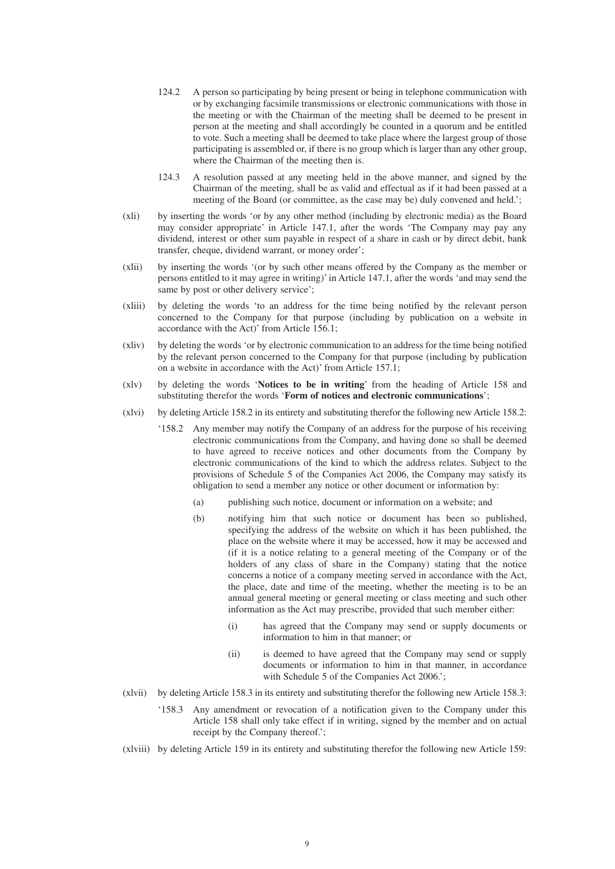- 124.2 A person so participating by being present or being in telephone communication with or by exchanging facsimile transmissions or electronic communications with those in the meeting or with the Chairman of the meeting shall be deemed to be present in person at the meeting and shall accordingly be counted in a quorum and be entitled to vote. Such a meeting shall be deemed to take place where the largest group of those participating is assembled or, if there is no group which is larger than any other group, where the Chairman of the meeting then is.
- 124.3 A resolution passed at any meeting held in the above manner, and signed by the Chairman of the meeting, shall be as valid and effectual as if it had been passed at a meeting of the Board (or committee, as the case may be) duly convened and held.';
- (xli) by inserting the words 'or by any other method (including by electronic media) as the Board may consider appropriate' in Article 147.1, after the words 'The Company may pay any dividend, interest or other sum payable in respect of a share in cash or by direct debit, bank transfer, cheque, dividend warrant, or money order';
- (xlii) by inserting the words '(or by such other means offered by the Company as the member or persons entitled to it may agree in writing)' in Article 147.1, after the words 'and may send the same by post or other delivery service';
- (xliii) by deleting the words 'to an address for the time being notified by the relevant person concerned to the Company for that purpose (including by publication on a website in accordance with the Act)' from Article 156.1;
- (xliv) by deleting the words 'or by electronic communication to an address for the time being notified by the relevant person concerned to the Company for that purpose (including by publication on a website in accordance with the Act)' from Article 157.1;
- (xlv) by deleting the words '**Notices to be in writing**' from the heading of Article 158 and substituting therefor the words '**Form of notices and electronic communications**';
- (xlvi) by deleting Article 158.2 in its entirety and substituting therefor the following new Article 158.2:
	- '158.2 Any member may notify the Company of an address for the purpose of his receiving electronic communications from the Company, and having done so shall be deemed to have agreed to receive notices and other documents from the Company by electronic communications of the kind to which the address relates. Subject to the provisions of Schedule 5 of the Companies Act 2006, the Company may satisfy its obligation to send a member any notice or other document or information by:
		- (a) publishing such notice, document or information on a website; and
		- (b) notifying him that such notice or document has been so published, specifying the address of the website on which it has been published, the place on the website where it may be accessed, how it may be accessed and (if it is a notice relating to a general meeting of the Company or of the holders of any class of share in the Company) stating that the notice concerns a notice of a company meeting served in accordance with the Act, the place, date and time of the meeting, whether the meeting is to be an annual general meeting or general meeting or class meeting and such other information as the Act may prescribe, provided that such member either:
			- (i) has agreed that the Company may send or supply documents or information to him in that manner; or
			- (ii) is deemed to have agreed that the Company may send or supply documents or information to him in that manner, in accordance with Schedule 5 of the Companies Act 2006.';
- (xlvii) by deleting Article 158.3 in its entirety and substituting therefor the following new Article 158.3:
	- '158.3 Any amendment or revocation of a notification given to the Company under this Article 158 shall only take effect if in writing, signed by the member and on actual receipt by the Company thereof.';
- (xlviii) by deleting Article 159 in its entirety and substituting therefor the following new Article 159: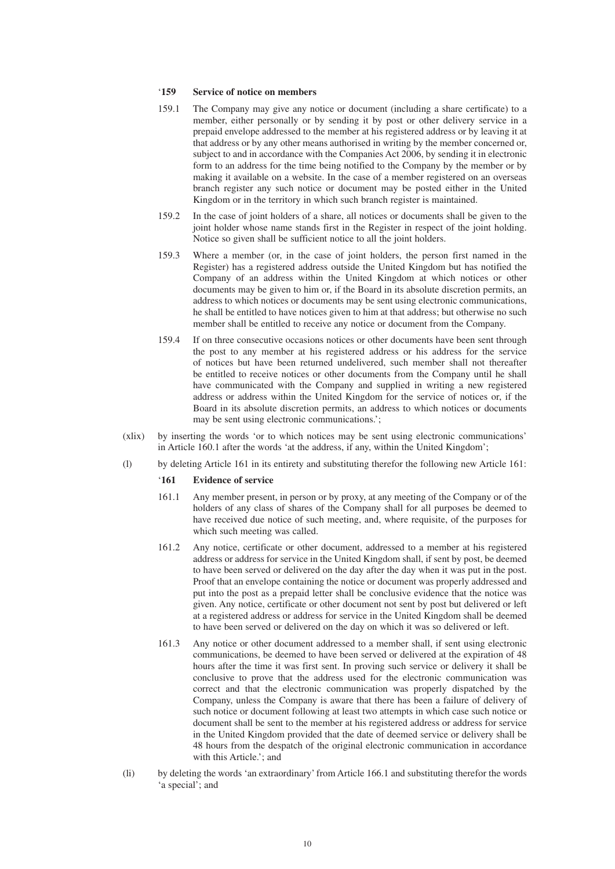#### '**159 Service of notice on members**

- 159.1 The Company may give any notice or document (including a share certificate) to a member, either personally or by sending it by post or other delivery service in a prepaid envelope addressed to the member at his registered address or by leaving it at that address or by any other means authorised in writing by the member concerned or, subject to and in accordance with the Companies Act 2006, by sending it in electronic form to an address for the time being notified to the Company by the member or by making it available on a website. In the case of a member registered on an overseas branch register any such notice or document may be posted either in the United Kingdom or in the territory in which such branch register is maintained.
- 159.2 In the case of joint holders of a share, all notices or documents shall be given to the joint holder whose name stands first in the Register in respect of the joint holding. Notice so given shall be sufficient notice to all the joint holders.
- 159.3 Where a member (or, in the case of joint holders, the person first named in the Register) has a registered address outside the United Kingdom but has notified the Company of an address within the United Kingdom at which notices or other documents may be given to him or, if the Board in its absolute discretion permits, an address to which notices or documents may be sent using electronic communications, he shall be entitled to have notices given to him at that address; but otherwise no such member shall be entitled to receive any notice or document from the Company.
- 159.4 If on three consecutive occasions notices or other documents have been sent through the post to any member at his registered address or his address for the service of notices but have been returned undelivered, such member shall not thereafter be entitled to receive notices or other documents from the Company until he shall have communicated with the Company and supplied in writing a new registered address or address within the United Kingdom for the service of notices or, if the Board in its absolute discretion permits, an address to which notices or documents may be sent using electronic communications.';
- (xlix) by inserting the words 'or to which notices may be sent using electronic communications' in Article 160.1 after the words 'at the address, if any, within the United Kingdom';
- (l) by deleting Article 161 in its entirety and substituting therefor the following new Article 161:

#### '**161 Evidence of service**

- 161.1 Any member present, in person or by proxy, at any meeting of the Company or of the holders of any class of shares of the Company shall for all purposes be deemed to have received due notice of such meeting, and, where requisite, of the purposes for which such meeting was called.
- 161.2 Any notice, certificate or other document, addressed to a member at his registered address or address for service in the United Kingdom shall, if sent by post, be deemed to have been served or delivered on the day after the day when it was put in the post. Proof that an envelope containing the notice or document was properly addressed and put into the post as a prepaid letter shall be conclusive evidence that the notice was given. Any notice, certificate or other document not sent by post but delivered or left at a registered address or address for service in the United Kingdom shall be deemed to have been served or delivered on the day on which it was so delivered or left.
- 161.3 Any notice or other document addressed to a member shall, if sent using electronic communications, be deemed to have been served or delivered at the expiration of 48 hours after the time it was first sent. In proving such service or delivery it shall be conclusive to prove that the address used for the electronic communication was correct and that the electronic communication was properly dispatched by the Company, unless the Company is aware that there has been a failure of delivery of such notice or document following at least two attempts in which case such notice or document shall be sent to the member at his registered address or address for service in the United Kingdom provided that the date of deemed service or delivery shall be 48 hours from the despatch of the original electronic communication in accordance with this Article.'; and
- (li) by deleting the words 'an extraordinary' from Article 166.1 and substituting therefor the words 'a special'; and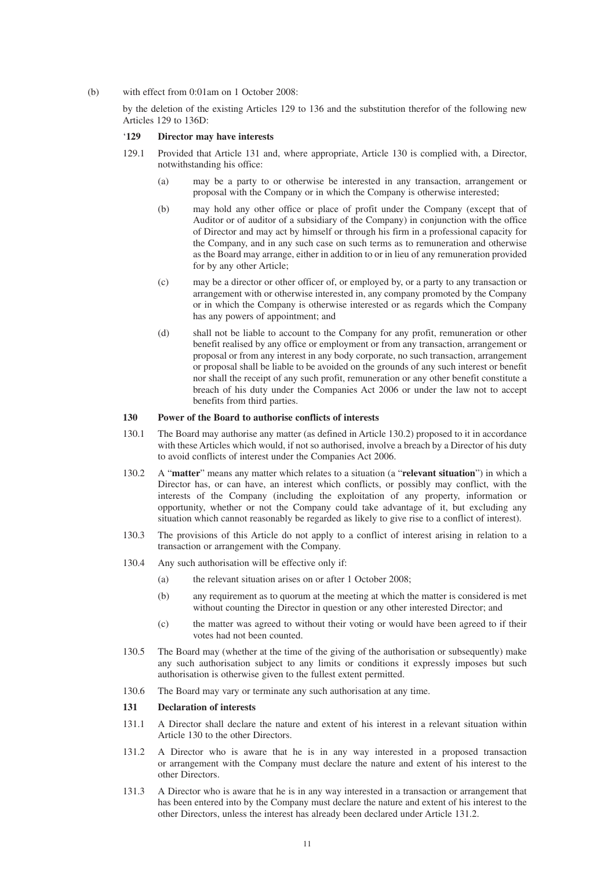(b) with effect from 0:01am on 1 October 2008:

by the deletion of the existing Articles 129 to 136 and the substitution therefor of the following new Articles 129 to 136D:

#### '**129 Director may have interests**

- 129.1 Provided that Article 131 and, where appropriate, Article 130 is complied with, a Director, notwithstanding his office:
	- (a) may be a party to or otherwise be interested in any transaction, arrangement or proposal with the Company or in which the Company is otherwise interested;
	- (b) may hold any other office or place of profit under the Company (except that of Auditor or of auditor of a subsidiary of the Company) in conjunction with the office of Director and may act by himself or through his firm in a professional capacity for the Company, and in any such case on such terms as to remuneration and otherwise as the Board may arrange, either in addition to or in lieu of any remuneration provided for by any other Article;
	- (c) may be a director or other officer of, or employed by, or a party to any transaction or arrangement with or otherwise interested in, any company promoted by the Company or in which the Company is otherwise interested or as regards which the Company has any powers of appointment; and
	- (d) shall not be liable to account to the Company for any profit, remuneration or other benefit realised by any office or employment or from any transaction, arrangement or proposal or from any interest in any body corporate, no such transaction, arrangement or proposal shall be liable to be avoided on the grounds of any such interest or benefit nor shall the receipt of any such profit, remuneration or any other benefit constitute a breach of his duty under the Companies Act 2006 or under the law not to accept benefits from third parties.

#### **130 Power of the Board to authorise conflicts of interests**

- 130.1 The Board may authorise any matter (as defined in Article 130.2) proposed to it in accordance with these Articles which would, if not so authorised, involve a breach by a Director of his duty to avoid conflicts of interest under the Companies Act 2006.
- 130.2 A "**matter**" means any matter which relates to a situation (a "**relevant situation**") in which a Director has, or can have, an interest which conflicts, or possibly may conflict, with the interests of the Company (including the exploitation of any property, information or opportunity, whether or not the Company could take advantage of it, but excluding any situation which cannot reasonably be regarded as likely to give rise to a conflict of interest).
- 130.3 The provisions of this Article do not apply to a conflict of interest arising in relation to a transaction or arrangement with the Company.
- 130.4 Any such authorisation will be effective only if:
	- (a) the relevant situation arises on or after 1 October 2008;
	- (b) any requirement as to quorum at the meeting at which the matter is considered is met without counting the Director in question or any other interested Director; and
	- (c) the matter was agreed to without their voting or would have been agreed to if their votes had not been counted.
- 130.5 The Board may (whether at the time of the giving of the authorisation or subsequently) make any such authorisation subject to any limits or conditions it expressly imposes but such authorisation is otherwise given to the fullest extent permitted.
- 130.6 The Board may vary or terminate any such authorisation at any time.

#### **131 Declaration of interests**

- 131.1 A Director shall declare the nature and extent of his interest in a relevant situation within Article 130 to the other Directors.
- 131.2 A Director who is aware that he is in any way interested in a proposed transaction or arrangement with the Company must declare the nature and extent of his interest to the other Directors.
- 131.3 A Director who is aware that he is in any way interested in a transaction or arrangement that has been entered into by the Company must declare the nature and extent of his interest to the other Directors, unless the interest has already been declared under Article 131.2.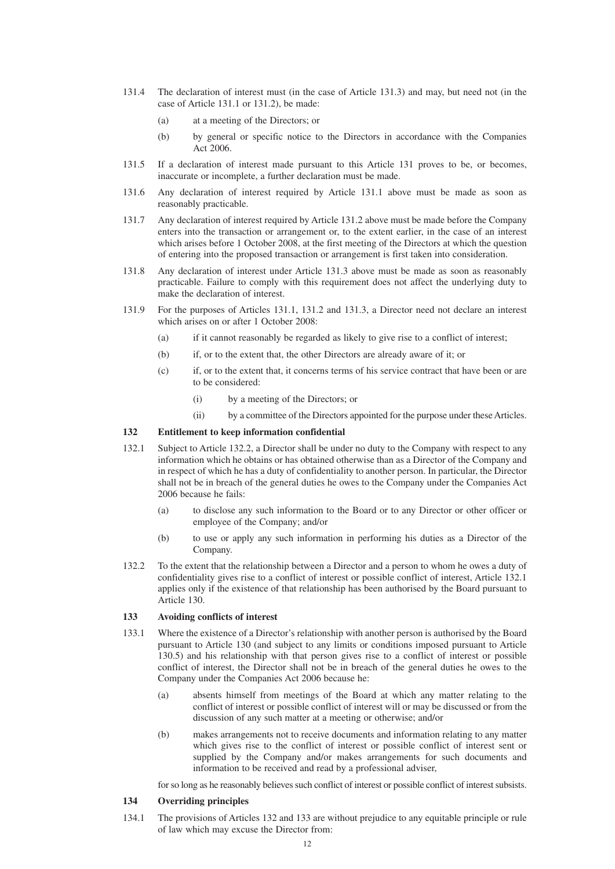- 131.4 The declaration of interest must (in the case of Article 131.3) and may, but need not (in the case of Article 131.1 or 131.2), be made:
	- (a) at a meeting of the Directors; or
	- (b) by general or specific notice to the Directors in accordance with the Companies Act 2006.
- 131.5 If a declaration of interest made pursuant to this Article 131 proves to be, or becomes, inaccurate or incomplete, a further declaration must be made.
- 131.6 Any declaration of interest required by Article 131.1 above must be made as soon as reasonably practicable.
- 131.7 Any declaration of interest required by Article 131.2 above must be made before the Company enters into the transaction or arrangement or, to the extent earlier, in the case of an interest which arises before 1 October 2008, at the first meeting of the Directors at which the question of entering into the proposed transaction or arrangement is first taken into consideration.
- 131.8 Any declaration of interest under Article 131.3 above must be made as soon as reasonably practicable. Failure to comply with this requirement does not affect the underlying duty to make the declaration of interest.
- 131.9 For the purposes of Articles 131.1, 131.2 and 131.3, a Director need not declare an interest which arises on or after 1 October 2008:
	- (a) if it cannot reasonably be regarded as likely to give rise to a conflict of interest;
	- (b) if, or to the extent that, the other Directors are already aware of it; or
	- (c) if, or to the extent that, it concerns terms of his service contract that have been or are to be considered:
		- (i) by a meeting of the Directors; or
		- (ii) by a committee of the Directors appointed for the purpose under these Articles.

#### **132 Entitlement to keep information confidential**

- 132.1 Subject to Article 132.2, a Director shall be under no duty to the Company with respect to any information which he obtains or has obtained otherwise than as a Director of the Company and in respect of which he has a duty of confidentiality to another person. In particular, the Director shall not be in breach of the general duties he owes to the Company under the Companies Act 2006 because he fails:
	- (a) to disclose any such information to the Board or to any Director or other officer or employee of the Company; and/or
	- (b) to use or apply any such information in performing his duties as a Director of the Company.
- 132.2 To the extent that the relationship between a Director and a person to whom he owes a duty of confidentiality gives rise to a conflict of interest or possible conflict of interest, Article 132.1 applies only if the existence of that relationship has been authorised by the Board pursuant to Article 130.

#### **133 Avoiding conflicts of interest**

- 133.1 Where the existence of a Director's relationship with another person is authorised by the Board pursuant to Article 130 (and subject to any limits or conditions imposed pursuant to Article 130.5) and his relationship with that person gives rise to a conflict of interest or possible conflict of interest, the Director shall not be in breach of the general duties he owes to the Company under the Companies Act 2006 because he:
	- (a) absents himself from meetings of the Board at which any matter relating to the conflict of interest or possible conflict of interest will or may be discussed or from the discussion of any such matter at a meeting or otherwise; and/or
	- (b) makes arrangements not to receive documents and information relating to any matter which gives rise to the conflict of interest or possible conflict of interest sent or supplied by the Company and/or makes arrangements for such documents and information to be received and read by a professional adviser,

for so long as he reasonably believes such conflict of interest or possible conflict of interest subsists.

#### **134 Overriding principles**

134.1 The provisions of Articles 132 and 133 are without prejudice to any equitable principle or rule of law which may excuse the Director from: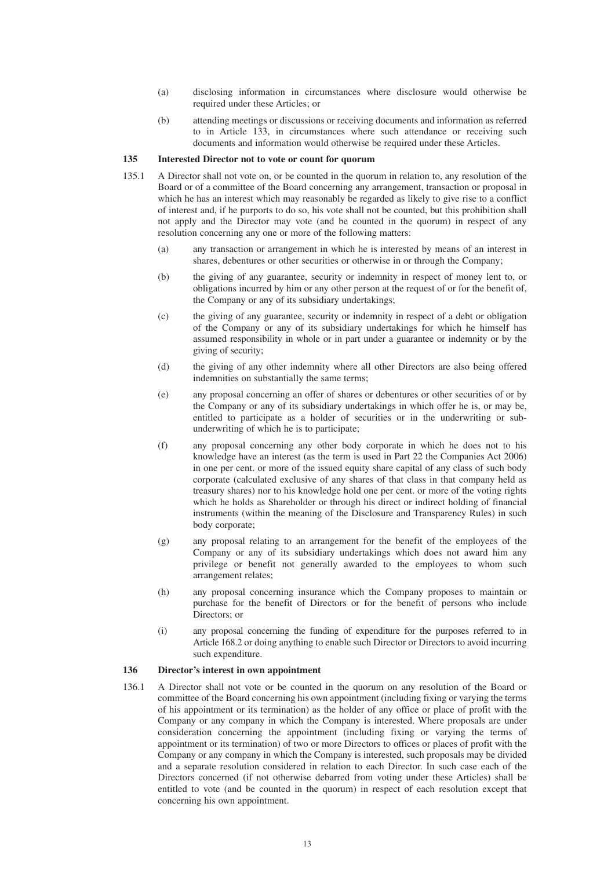- (a) disclosing information in circumstances where disclosure would otherwise be required under these Articles; or
- (b) attending meetings or discussions or receiving documents and information as referred to in Article 133, in circumstances where such attendance or receiving such documents and information would otherwise be required under these Articles.

#### **135 Interested Director not to vote or count for quorum**

- 135.1 A Director shall not vote on, or be counted in the quorum in relation to, any resolution of the Board or of a committee of the Board concerning any arrangement, transaction or proposal in which he has an interest which may reasonably be regarded as likely to give rise to a conflict of interest and, if he purports to do so, his vote shall not be counted, but this prohibition shall not apply and the Director may vote (and be counted in the quorum) in respect of any resolution concerning any one or more of the following matters:
	- (a) any transaction or arrangement in which he is interested by means of an interest in shares, debentures or other securities or otherwise in or through the Company;
	- (b) the giving of any guarantee, security or indemnity in respect of money lent to, or obligations incurred by him or any other person at the request of or for the benefit of, the Company or any of its subsidiary undertakings;
	- (c) the giving of any guarantee, security or indemnity in respect of a debt or obligation of the Company or any of its subsidiary undertakings for which he himself has assumed responsibility in whole or in part under a guarantee or indemnity or by the giving of security;
	- (d) the giving of any other indemnity where all other Directors are also being offered indemnities on substantially the same terms;
	- (e) any proposal concerning an offer of shares or debentures or other securities of or by the Company or any of its subsidiary undertakings in which offer he is, or may be, entitled to participate as a holder of securities or in the underwriting or subunderwriting of which he is to participate;
	- (f) any proposal concerning any other body corporate in which he does not to his knowledge have an interest (as the term is used in Part 22 the Companies Act 2006) in one per cent. or more of the issued equity share capital of any class of such body corporate (calculated exclusive of any shares of that class in that company held as treasury shares) nor to his knowledge hold one per cent. or more of the voting rights which he holds as Shareholder or through his direct or indirect holding of financial instruments (within the meaning of the Disclosure and Transparency Rules) in such body corporate;
	- (g) any proposal relating to an arrangement for the benefit of the employees of the Company or any of its subsidiary undertakings which does not award him any privilege or benefit not generally awarded to the employees to whom such arrangement relates;
	- (h) any proposal concerning insurance which the Company proposes to maintain or purchase for the benefit of Directors or for the benefit of persons who include Directors: or
	- (i) any proposal concerning the funding of expenditure for the purposes referred to in Article 168.2 or doing anything to enable such Director or Directors to avoid incurring such expenditure.

#### **136 Director's interest in own appointment**

136.1 A Director shall not vote or be counted in the quorum on any resolution of the Board or committee of the Board concerning his own appointment (including fixing or varying the terms of his appointment or its termination) as the holder of any office or place of profit with the Company or any company in which the Company is interested. Where proposals are under consideration concerning the appointment (including fixing or varying the terms of appointment or its termination) of two or more Directors to offices or places of profit with the Company or any company in which the Company is interested, such proposals may be divided and a separate resolution considered in relation to each Director. In such case each of the Directors concerned (if not otherwise debarred from voting under these Articles) shall be entitled to vote (and be counted in the quorum) in respect of each resolution except that concerning his own appointment.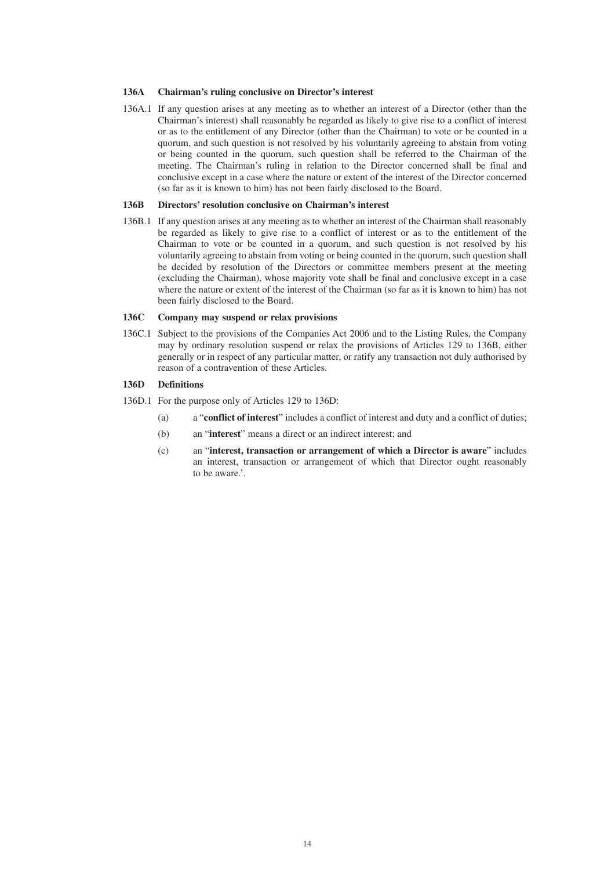#### **136A Chairman's ruling conclusive on Director's interest**

136A.1 If any question arises at any meeting as to whether an interest of a Director (other than the Chairman's interest) shall reasonably be regarded as likely to give rise to a conflict of interest or as to the entitlement of any Director (other than the Chairman) to vote or be counted in a quorum, and such question is not resolved by his voluntarily agreeing to abstain from voting or being counted in the quorum, such question shall be referred to the Chairman of the meeting. The Chairman's ruling in relation to the Director concerned shall be final and conclusive except in a case where the nature or extent of the interest of the Director concerned (so far as it is known to him) has not been fairly disclosed to the Board.

#### **136B Directors' resolution conclusive on Chairman's interest**

136B.1 If any question arises at any meeting as to whether an interest of the Chairman shall reasonably be regarded as likely to give rise to a conflict of interest or as to the entitlement of the Chairman to vote or be counted in a quorum, and such question is not resolved by his voluntarily agreeing to abstain from voting or being counted in the quorum, such question shall be decided by resolution of the Directors or committee members present at the meeting (excluding the Chairman), whose majority vote shall be final and conclusive except in a case where the nature or extent of the interest of the Chairman (so far as it is known to him) has not been fairly disclosed to the Board.

#### **136C Company may suspend or relax provisions**

136C.1 Subject to the provisions of the Companies Act 2006 and to the Listing Rules, the Company may by ordinary resolution suspend or relax the provisions of Articles 129 to 136B, either generally or in respect of any particular matter, or ratify any transaction not duly authorised by reason of a contravention of these Articles.

#### **136D Definitions**

- 136D.1 For the purpose only of Articles 129 to 136D:
	- (a) a "**conflict of interest**" includes a conflict of interest and duty and a conflict of duties;
	- (b) an "**interest**" means a direct or an indirect interest; and
	- (c) an "**interest, transaction or arrangement of which a Director is aware**" includes an interest, transaction or arrangement of which that Director ought reasonably to be aware?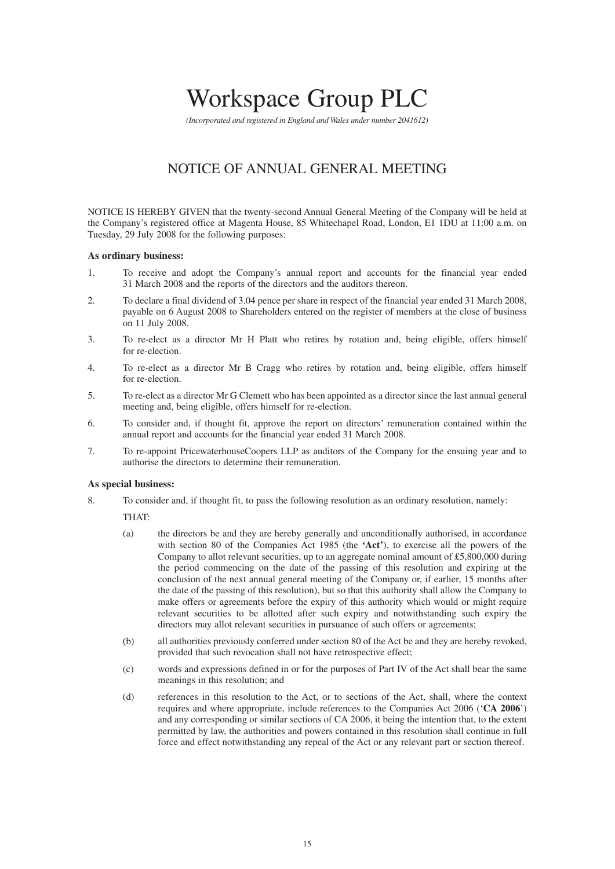# Workspace Group PLC

*(Incorporated and registered in England and Wales under number 2041612)*

## NOTICE OF ANNUAL GENERAL MEETING

NOTICE IS HEREBY GIVEN that the twenty-second Annual General Meeting of the Company will be held at the Company's registered office at Magenta House, 85 Whitechapel Road, London, E1 1DU at 11:00 a.m. on Tuesday, 29 July 2008 for the following purposes:

#### **As ordinary business:**

- 1. To receive and adopt the Company's annual report and accounts for the financial year ended 31 March 2008 and the reports of the directors and the auditors thereon.
- 2. To declare a final dividend of 3.04 pence per share in respect of the financial year ended 31 March 2008, payable on 6 August 2008 to Shareholders entered on the register of members at the close of business on 11 July 2008.
- 3. To re-elect as a director Mr H Platt who retires by rotation and, being eligible, offers himself for re-election.
- 4. To re-elect as a director Mr B Cragg who retires by rotation and, being eligible, offers himself for re-election.
- 5. To re-elect as a director Mr G Clemett who has been appointed as a director since the last annual general meeting and, being eligible, offers himself for re-election.
- 6. To consider and, if thought fit, approve the report on directors' remuneration contained within the annual report and accounts for the financial year ended 31 March 2008.
- 7. To re-appoint PricewaterhouseCoopers LLP as auditors of the Company for the ensuing year and to authorise the directors to determine their remuneration.

#### **As special business:**

- 8. To consider and, if thought fit, to pass the following resolution as an ordinary resolution, namely:
	- THAT:
	- (a) the directors be and they are hereby generally and unconditionally authorised, in accordance with section 80 of the Companies Act 1985 (the **'Act'**), to exercise all the powers of the Company to allot relevant securities, up to an aggregate nominal amount of £5,800,000 during the period commencing on the date of the passing of this resolution and expiring at the conclusion of the next annual general meeting of the Company or, if earlier, 15 months after the date of the passing of this resolution), but so that this authority shall allow the Company to make offers or agreements before the expiry of this authority which would or might require relevant securities to be allotted after such expiry and notwithstanding such expiry the directors may allot relevant securities in pursuance of such offers or agreements;
	- (b) all authorities previously conferred under section 80 of the Act be and they are hereby revoked, provided that such revocation shall not have retrospective effect;
	- (c) words and expressions defined in or for the purposes of Part IV of the Act shall bear the same meanings in this resolution; and
	- (d) references in this resolution to the Act, or to sections of the Act, shall, where the context requires and where appropriate, include references to the Companies Act 2006 ('**CA 2006**') and any corresponding or similar sections of CA 2006, it being the intention that, to the extent permitted by law, the authorities and powers contained in this resolution shall continue in full force and effect notwithstanding any repeal of the Act or any relevant part or section thereof.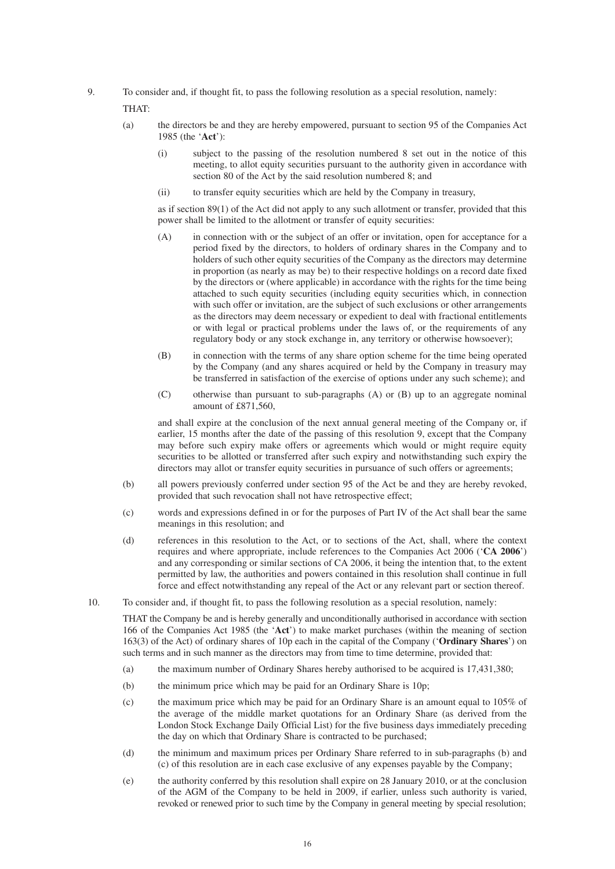9. To consider and, if thought fit, to pass the following resolution as a special resolution, namely:

THAT:

- (a) the directors be and they are hereby empowered, pursuant to section 95 of the Companies Act 1985 (the '**Act**'):
	- (i) subject to the passing of the resolution numbered 8 set out in the notice of this meeting, to allot equity securities pursuant to the authority given in accordance with section 80 of the Act by the said resolution numbered 8; and
	- (ii) to transfer equity securities which are held by the Company in treasury,

as if section 89(1) of the Act did not apply to any such allotment or transfer, provided that this power shall be limited to the allotment or transfer of equity securities:

- (A) in connection with or the subject of an offer or invitation, open for acceptance for a period fixed by the directors, to holders of ordinary shares in the Company and to holders of such other equity securities of the Company as the directors may determine in proportion (as nearly as may be) to their respective holdings on a record date fixed by the directors or (where applicable) in accordance with the rights for the time being attached to such equity securities (including equity securities which, in connection with such offer or invitation, are the subject of such exclusions or other arrangements as the directors may deem necessary or expedient to deal with fractional entitlements or with legal or practical problems under the laws of, or the requirements of any regulatory body or any stock exchange in, any territory or otherwise howsoever);
- (B) in connection with the terms of any share option scheme for the time being operated by the Company (and any shares acquired or held by the Company in treasury may be transferred in satisfaction of the exercise of options under any such scheme); and
- (C) otherwise than pursuant to sub-paragraphs (A) or (B) up to an aggregate nominal amount of  $£871,560$ .

and shall expire at the conclusion of the next annual general meeting of the Company or, if earlier, 15 months after the date of the passing of this resolution 9, except that the Company may before such expiry make offers or agreements which would or might require equity securities to be allotted or transferred after such expiry and notwithstanding such expiry the directors may allot or transfer equity securities in pursuance of such offers or agreements;

- (b) all powers previously conferred under section 95 of the Act be and they are hereby revoked, provided that such revocation shall not have retrospective effect;
- (c) words and expressions defined in or for the purposes of Part IV of the Act shall bear the same meanings in this resolution; and
- (d) references in this resolution to the Act, or to sections of the Act, shall, where the context requires and where appropriate, include references to the Companies Act 2006 ('**CA 2006**') and any corresponding or similar sections of CA 2006, it being the intention that, to the extent permitted by law, the authorities and powers contained in this resolution shall continue in full force and effect notwithstanding any repeal of the Act or any relevant part or section thereof.
- 10. To consider and, if thought fit, to pass the following resolution as a special resolution, namely:

THAT the Company be and is hereby generally and unconditionally authorised in accordance with section 166 of the Companies Act 1985 (the '**Act**') to make market purchases (within the meaning of section 163(3) of the Act) of ordinary shares of 10p each in the capital of the Company ('**Ordinary Shares**') on such terms and in such manner as the directors may from time to time determine, provided that:

- (a) the maximum number of Ordinary Shares hereby authorised to be acquired is 17,431,380;
- (b) the minimum price which may be paid for an Ordinary Share is 10p;
- (c) the maximum price which may be paid for an Ordinary Share is an amount equal to 105% of the average of the middle market quotations for an Ordinary Share (as derived from the London Stock Exchange Daily Official List) for the five business days immediately preceding the day on which that Ordinary Share is contracted to be purchased;
- (d) the minimum and maximum prices per Ordinary Share referred to in sub-paragraphs (b) and (c) of this resolution are in each case exclusive of any expenses payable by the Company;
- (e) the authority conferred by this resolution shall expire on 28 January 2010, or at the conclusion of the AGM of the Company to be held in 2009, if earlier, unless such authority is varied, revoked or renewed prior to such time by the Company in general meeting by special resolution;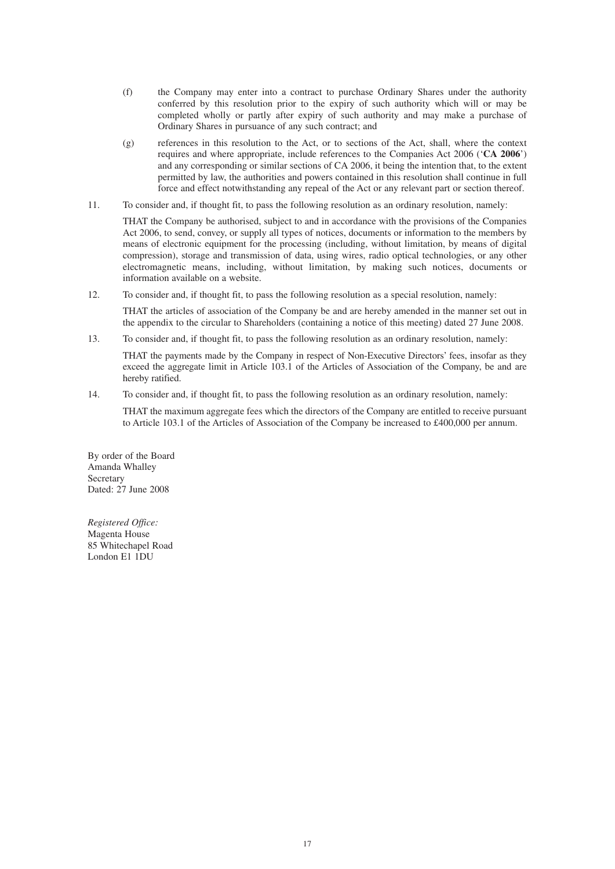- (f) the Company may enter into a contract to purchase Ordinary Shares under the authority conferred by this resolution prior to the expiry of such authority which will or may be completed wholly or partly after expiry of such authority and may make a purchase of Ordinary Shares in pursuance of any such contract; and
- (g) references in this resolution to the Act, or to sections of the Act, shall, where the context requires and where appropriate, include references to the Companies Act 2006 ('**CA 2006**') and any corresponding or similar sections of CA 2006, it being the intention that, to the extent permitted by law, the authorities and powers contained in this resolution shall continue in full force and effect notwithstanding any repeal of the Act or any relevant part or section thereof.
- 11. To consider and, if thought fit, to pass the following resolution as an ordinary resolution, namely:

THAT the Company be authorised, subject to and in accordance with the provisions of the Companies Act 2006, to send, convey, or supply all types of notices, documents or information to the members by means of electronic equipment for the processing (including, without limitation, by means of digital compression), storage and transmission of data, using wires, radio optical technologies, or any other electromagnetic means, including, without limitation, by making such notices, documents or information available on a website.

12. To consider and, if thought fit, to pass the following resolution as a special resolution, namely:

THAT the articles of association of the Company be and are hereby amended in the manner set out in the appendix to the circular to Shareholders (containing a notice of this meeting) dated 27 June 2008.

13. To consider and, if thought fit, to pass the following resolution as an ordinary resolution, namely:

THAT the payments made by the Company in respect of Non-Executive Directors' fees, insofar as they exceed the aggregate limit in Article 103.1 of the Articles of Association of the Company, be and are hereby ratified.

14. To consider and, if thought fit, to pass the following resolution as an ordinary resolution, namely:

THAT the maximum aggregate fees which the directors of the Company are entitled to receive pursuant to Article 103.1 of the Articles of Association of the Company be increased to £400,000 per annum.

By order of the Board Amanda Whalley Secretary Dated: 27 June 2008

*Registered Office:* Magenta House 85 Whitechapel Road London E1 1DU